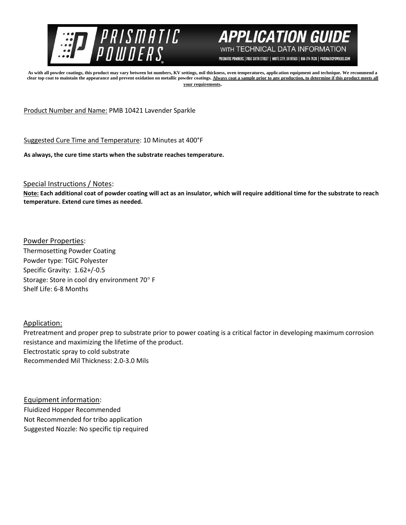



PRISMATIC POWDERS. | 7050 SIXTH STREET | WHITE CITY, OR 97503 | 866-774-7628 | PRISMATICPOWDERS.COM

**As with all powder coatings, this product may vary between lot numbers, KV settings, mil thickness, oven temperatures, application equipment and technique. We recommend a**  clear top coat to maintain the appearance and prevent oxidation on metallic powder coatings. Always coat a sample prior to any production, to determine if this product meets all **your requirements.** 

Product Number and Name: PMB 10421 Lavender Sparkle

Suggested Cure Time and Temperature: 10 Minutes at 400°F

**As always, the cure time starts when the substrate reaches temperature.**

Special Instructions / Notes:

**Note: Each additional coat of powder coating will act as an insulator, which will require additional time for the substrate to reach temperature. Extend cure times as needed.** 

Powder Properties: Thermosetting Powder Coating Powder type: TGIC Polyester Specific Gravity: 1.62+/-0.5 Storage: Store in cool dry environment 70° F Shelf Life: 6-8 Months

Application:

Pretreatment and proper prep to substrate prior to power coating is a critical factor in developing maximum corrosion resistance and maximizing the lifetime of the product. Electrostatic spray to cold substrate Recommended Mil Thickness: 2.0-3.0 Mils

Equipment information: Fluidized Hopper Recommended Not Recommended for tribo application Suggested Nozzle: No specific tip required